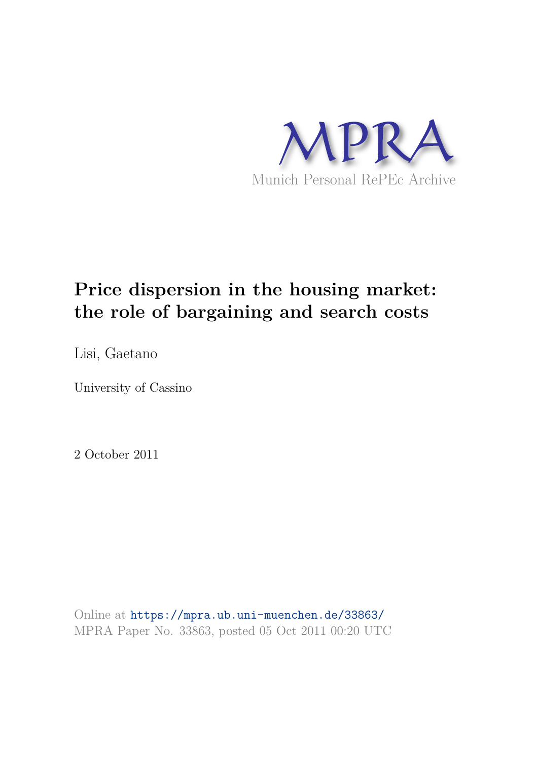

# **Price dispersion in the housing market: the role of bargaining and search costs**

Lisi, Gaetano

University of Cassino

2 October 2011

Online at https://mpra.ub.uni-muenchen.de/33863/ MPRA Paper No. 33863, posted 05 Oct 2011 00:20 UTC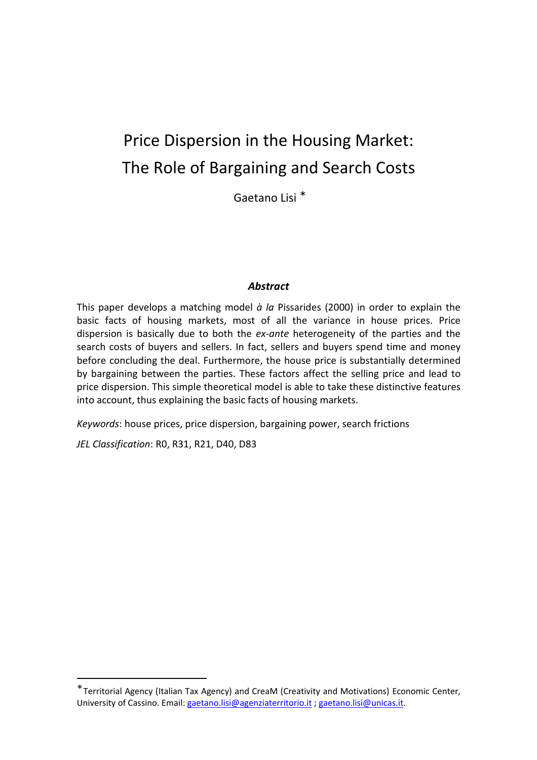# Price Dispersion in the Housing Market: The Role of Bargaining and Search Costs

Gaetano Lisi <sup>∗</sup>

# *Abstract*

This paper develops a matching model *à la* Pissarides (2000) in order to explain the basic facts of housing markets, most of all the variance in house prices. Price dispersion is basically due to both the *ex-ante* heterogeneity of the parties and the search costs of buyers and sellers. In fact, sellers and buyers spend time and money before concluding the deal. Furthermore, the house price is substantially determined by bargaining between the parties. These factors affect the selling price and lead to price dispersion. This simple theoretical model is able to take these distinctive features into account, thus explaining the basic facts of housing markets.

*Keywords*: house prices, price dispersion, bargaining power, search frictions

*JEL Classification*: R0, R31, R21, D40, D83

<sup>∗</sup> Territorial Agency (Italian Tax Agency) and CreaM (Creativity and Motivations) Economic Center, University of Cassino. Email: gaetano.lisi@agenziaterritorio.it ; gaetano.lisi@unicas.it.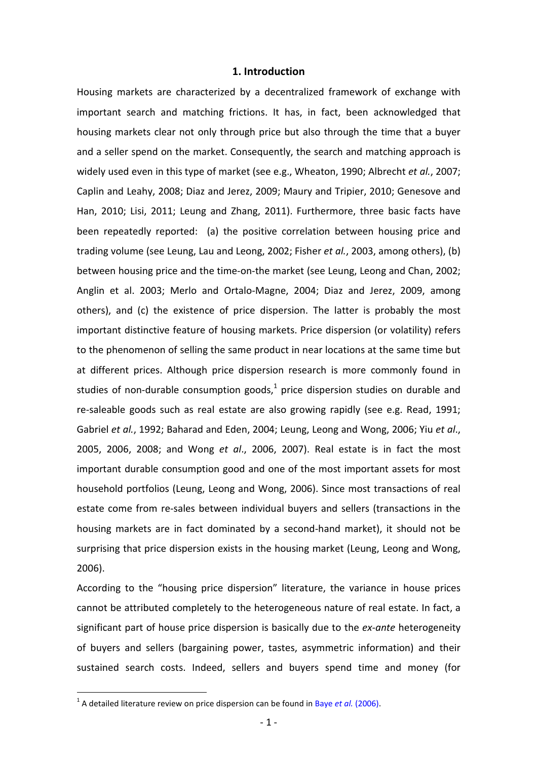#### **1. Introduction**

Housing markets are characterized by a decentralized framework of exchange with important search and matching frictions. It has, in fact, been acknowledged that housing markets clear not only through price but also through the time that a buyer and a seller spend on the market. Consequently, the search and matching approach is widely used even in this type of market (see e.g., Wheaton, 1990; Albrecht *et al.*, 2007; Caplin and Leahy, 2008; Diaz and Jerez, 2009; Maury and Tripier, 2010; Genesove and Han, 2010; Lisi, 2011; Leung and Zhang, 2011). Furthermore, three basic facts have been repeatedly reported: (a) the positive correlation between housing price and trading volume (see Leung, Lau and Leong, 2002; Fisher *et al.*, 2003, among others), (b) between housing price and the time-on-the market (see Leung, Leong and Chan, 2002; Anglin et al. 2003; Merlo and Ortalo-Magne, 2004; Diaz and Jerez, 2009, among others), and (c) the existence of price dispersion. The latter is probably the most important distinctive feature of housing markets. Price dispersion (or volatility) refers to the phenomenon of selling the same product in near locations at the same time but at different prices. Although price dispersion research is more commonly found in studies of non-durable consumption goods,<sup>1</sup> price dispersion studies on durable and re-saleable goods such as real estate are also growing rapidly (see e.g. Read, 1991; Gabriel *et al.*, 1992; Baharad and Eden, 2004; Leung, Leong and Wong, 2006; Yiu *et al*., 2005, 2006, 2008; and Wong *et al*., 2006, 2007). Real estate is in fact the most important durable consumption good and one of the most important assets for most household portfolios (Leung, Leong and Wong, 2006). Since most transactions of real estate come from re-sales between individual buyers and sellers (transactions in the housing markets are in fact dominated by a second-hand market), it should not be surprising that price dispersion exists in the housing market (Leung, Leong and Wong, 2006).

According to the "housing price dispersion" literature, the variance in house prices cannot be attributed completely to the heterogeneous nature of real estate. In fact, a significant part of house price dispersion is basically due to the *ex-ante* heterogeneity of buyers and sellers (bargaining power, tastes, asymmetric information) and their sustained search costs. Indeed, sellers and buyers spend time and money (for

<sup>&</sup>lt;sup>1</sup> A detailed literature review on price dispersion can be found in Baye *et al.* (2006).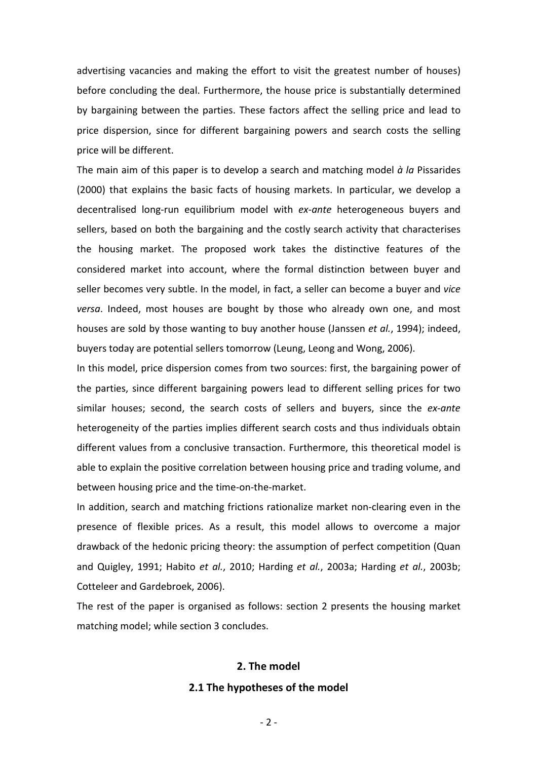advertising vacancies and making the effort to visit the greatest number of houses) before concluding the deal. Furthermore, the house price is substantially determined by bargaining between the parties. These factors affect the selling price and lead to price dispersion, since for different bargaining powers and search costs the selling price will be different.

The main aim of this paper is to develop a search and matching model *à la* Pissarides (2000) that explains the basic facts of housing markets. In particular, we develop a decentralised long-run equilibrium model with *ex-ante* heterogeneous buyers and sellers, based on both the bargaining and the costly search activity that characterises the housing market. The proposed work takes the distinctive features of the considered market into account, where the formal distinction between buyer and seller becomes very subtle. In the model, in fact, a seller can become a buyer and *vice versa*. Indeed, most houses are bought by those who already own one, and most houses are sold by those wanting to buy another house (Janssen *et al.*, 1994); indeed, buyers today are potential sellers tomorrow (Leung, Leong and Wong, 2006).

In this model, price dispersion comes from two sources: first, the bargaining power of the parties, since different bargaining powers lead to different selling prices for two similar houses; second, the search costs of sellers and buyers, since the *ex-ante* heterogeneity of the parties implies different search costs and thus individuals obtain different values from a conclusive transaction. Furthermore, this theoretical model is able to explain the positive correlation between housing price and trading volume, and between housing price and the time-on-the-market.

In addition, search and matching frictions rationalize market non-clearing even in the presence of flexible prices. As a result, this model allows to overcome a major drawback of the hedonic pricing theory: the assumption of perfect competition (Quan and Quigley, 1991; Habito *et al.*, 2010; Harding *et al.*, 2003a; Harding *et al.*, 2003b; Cotteleer and Gardebroek, 2006).

The rest of the paper is organised as follows: section 2 presents the housing market matching model; while section 3 concludes.

# **2. The model**

## **2.1 The hypotheses of the model**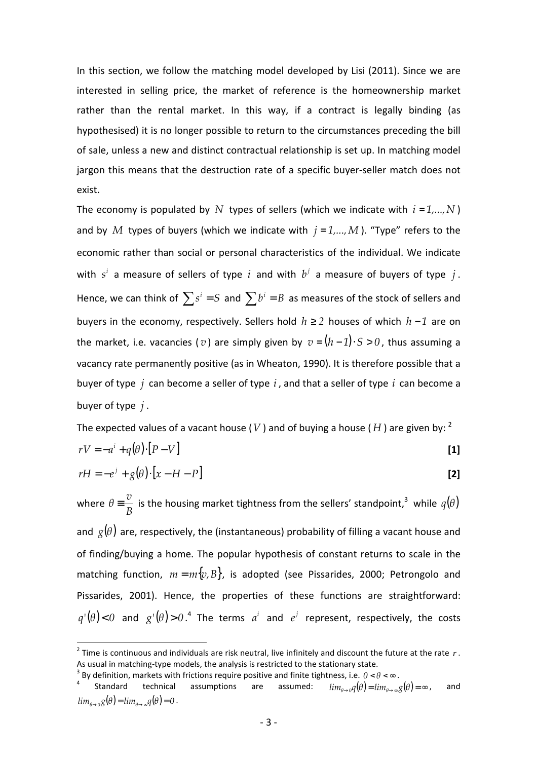In this section, we follow the matching model developed by Lisi (2011). Since we are interested in selling price, the market of reference is the homeownership market rather than the rental market. In this way, if a contract is legally binding (as hypothesised) it is no longer possible to return to the circumstances preceding the bill of sale, unless a new and distinct contractual relationship is set up. In matching model jargon this means that the destruction rate of a specific buyer-seller match does not exist.

The economy is populated by N types of sellers (which we indicate with  $i = 1,...,N$ ) and by *M* types of buyers (which we indicate with  $j = 1,...,M$ ). "Type" refers to the economic rather than social or personal characteristics of the individual. We indicate with  $s^i$  a measure of sellers of type  $i$  and with  $b^j$  a measure of buyers of type  $j$ . Hence, we can think of  $\sum s^i = S$  and  $\sum b^i = B$  as measures of the stock of sellers and buyers in the economy, respectively. Sellers hold *h* ≥ *2* houses of which *h* − *1* are on the market, i.e. vacancies ( $v$ ) are simply given by  $v = (h-1) \cdot S > 0$ , thus assuming a vacancy rate permanently positive (as in Wheaton, 1990). It is therefore possible that a buyer of type *j* can become a seller of type *i* , and that a seller of type *i* can become a buyer of type *j* .

The expected values of a vacant house (*V*) and of buying a house (*H*) are given by: <sup>2</sup>

$$
rV = -a^i + q(\theta) \cdot [P - V] \tag{1}
$$

$$
rH = -e^{j} + g(\theta) \cdot [x - H - P]
$$
 [2]

where *B*  $\theta = \frac{v}{R}$  is the housing market tightness from the sellers' standpoint,<sup>3</sup> while  $q(\theta)$ and  $g(\theta)$  are, respectively, the (instantaneous) probability of filling a vacant house and of finding/buying a home. The popular hypothesis of constant returns to scale in the matching function,  $m = m\{v, B\}$ , is adopted (see Pissarides, 2000; Petrongolo and Pissarides, 2001). Hence, the properties of these functions are straightforward:  $q'(\theta) < 0$  and  $g'(\theta) > 0$ .<sup>4</sup> The terms  $a^i$  and  $e^j$  represent, respectively, the costs

<sup>2</sup> Time is continuous and individuals are risk neutral, live infinitely and discount the future at the rate *r* . As usual in matching-type models, the analysis is restricted to the stationary state.<br><sup>3</sup> By definition, markets with fristions require positive and finite tightness, i.e., 0, 0

By definition, markets with frictions require positive and finite tightness, i.e.  $0 < \theta < \infty$ .<br>Standard technical assumptions are assumed:  $\lim_{n \to \infty} a(\theta) = \lim_{n \to \infty} a(\theta)$ 

<sup>4</sup> Standard technical assumptions are  $lim_{\theta\rightarrow 0}q(\theta) = lim_{\theta\rightarrow \infty}q(\theta) = \infty$ , and  $lim_{\theta \to 0} g(\theta) = lim_{\theta \to \infty} q(\theta) = 0$ .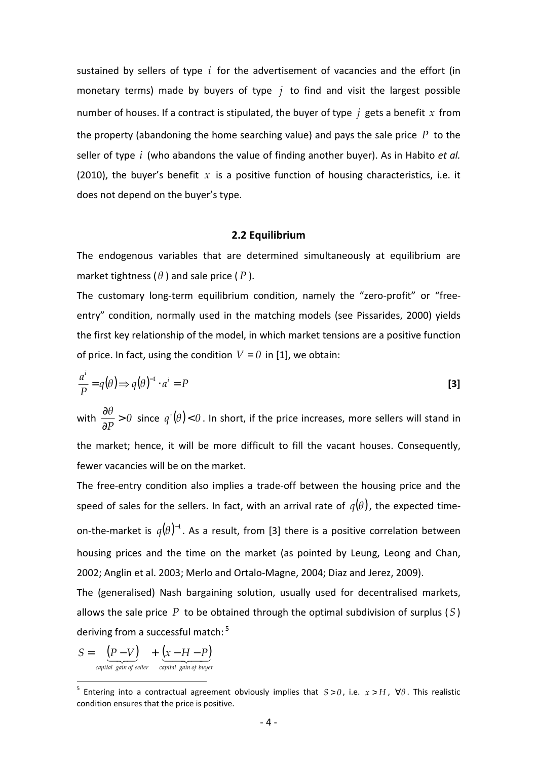sustained by sellers of type *i* for the advertisement of vacancies and the effort (in monetary terms) made by buyers of type *j* to find and visit the largest possible number of houses. If a contract is stipulated, the buyer of type *j* gets a benefit *x* from the property (abandoning the home searching value) and pays the sale price *P* to the seller of type *i* (who abandons the value of finding another buyer). As in Habito *et al.* (2010), the buyer's benefit  $x$  is a positive function of housing characteristics, i.e. it does not depend on the buyer's type.

#### **2.2 Equilibrium**

The endogenous variables that are determined simultaneously at equilibrium are market tightness (*θ* ) and sale price ( *P* ).

The customary long-term equilibrium condition, namely the "zero-profit" or "freeentry" condition, normally used in the matching models (see Pissarides, 2000) yields the first key relationship of the model, in which market tensions are a positive function of price. In fact, using the condition  $V = 0$  in [1], we obtain:

$$
\frac{a^i}{P} = q(\theta) \Longrightarrow q(\theta)^{-1} \cdot a^i = P
$$
\n[3]

with  $\frac{00}{2} > 0$ *P θ* > ∂  $\frac{\partial \theta}{\partial \mathbf{n}}$  > 0 since  $q'(\theta)$  < 0. In short, if the price increases, more sellers will stand in the market; hence, it will be more difficult to fill the vacant houses. Consequently, fewer vacancies will be on the market.

The free-entry condition also implies a trade-off between the housing price and the speed of sales for the sellers. In fact, with an arrival rate of  $q(\theta)$ , the expected timeon-the-market is  $q(\theta )^{-1}$ . As a result, from [3] there is a positive correlation between housing prices and the time on the market (as pointed by Leung, Leong and Chan, 2002; Anglin et al. 2003; Merlo and Ortalo-Magne, 2004; Diaz and Jerez, 2009).

The (generalised) Nash bargaining solution, usually used for decentralised markets, allows the sale price *P* to be obtained through the optimal subdivision of surplus (*S* ) deriving from a successful match:  $5$ 

$$
S = \underbrace{(P-V)}_{\textit{capital gain of seller}} + \underbrace{(x-H-P)}_{\textit{capital gain of buyer}}
$$

<sup>5</sup> Entering into a contractual agreement obviously implies that *S* > *0* , i.e. *x* > *H* , ∀*θ* . This realistic condition ensures that the price is positive.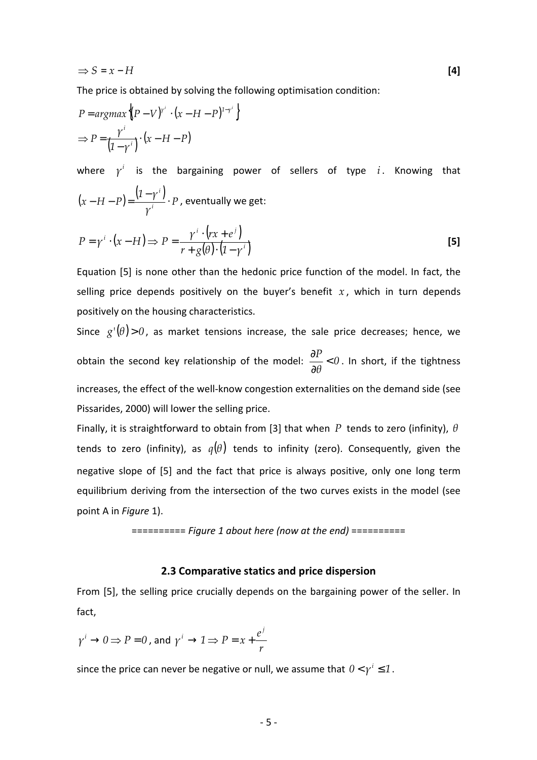$$
\Rightarrow S = x - H \tag{4}
$$

The price is obtained by solving the following optimisation condition:

$$
P = argmax \left\{ (P - V)^{r^i} \cdot (x - H - P)^{1 - r^i} \right\}
$$
  
\n
$$
\Rightarrow P = \frac{\gamma^i}{(1 - \gamma^i)} \cdot (x - H - P)
$$

where  $\gamma^i$  is the bargaining power of sellers of type  $i$ . Knowing that  $(x - H - P) = \frac{(1 - \gamma^{i})}{4} \cdot P$ *γ 1 γ*  $(x - H - P) = \frac{V}{\gamma}$ *i* ⋅  $(-H-P) = \frac{(1-\gamma^{i})}{i} \cdot P$ , eventually we get:

$$
P = \gamma^{i} \cdot (x - H) \Longrightarrow P = \frac{\gamma^{i} \cdot (rx + e^{j})}{r + g(\theta) \cdot (1 - \gamma^{i})}
$$
 [5]

Equation [5] is none other than the hedonic price function of the model. In fact, the selling price depends positively on the buyer's benefit  $x$ , which in turn depends positively on the housing characteristics.

Since  $g'(\theta) > 0$ , as market tensions increase, the sale price decreases; hence, we obtain the second key relationship of the model:  $\frac{01}{20} < 0$ *θ*  $\frac{p}{q}$ ∂  $\frac{\partial P}{\partial \rho}$  < 0 . In short, if the tightness increases, the effect of the well-know congestion externalities on the demand side (see Pissarides, 2000) will lower the selling price.

Finally, it is straightforward to obtain from [3] that when *P* tends to zero (infinity), *θ* tends to zero (infinity), as  $q(\theta)$  tends to infinity (zero). Consequently, given the negative slope of [5] and the fact that price is always positive, only one long term equilibrium deriving from the intersection of the two curves exists in the model (see point A in *Figure* 1).

========== *Figure 1 about here (now at the end)* ==========

# **2.3 Comparative statics and price dispersion**

From [5], the selling price crucially depends on the bargaining power of the seller. In fact,

$$
\gamma^i \to 0 \implies P = 0
$$
, and  $\gamma^i \to 1 \implies P = x + \frac{e^j}{r}$ 

since the price can never be negative or null, we assume that  $0 < \gamma^i \leq 1$ .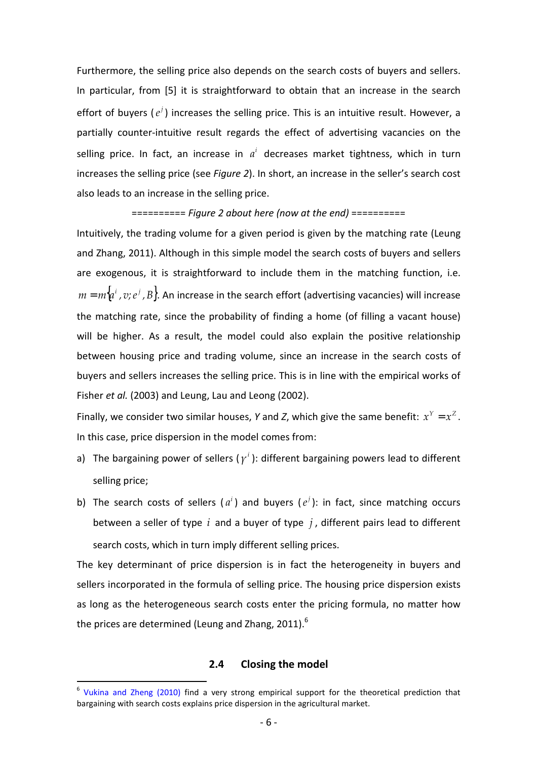Furthermore, the selling price also depends on the search costs of buyers and sellers. In particular, from [5] it is straightforward to obtain that an increase in the search effort of buyers  $(e^j)$  increases the selling price. This is an intuitive result. However, a partially counter-intuitive result regards the effect of advertising vacancies on the selling price. In fact, an increase in  $a<sup>i</sup>$  decreases market tightness, which in turn increases the selling price (see *Figure 2*). In short, an increase in the seller's search cost also leads to an increase in the selling price.

#### ========== *Figure 2 about here (now at the end)* ==========

Intuitively, the trading volume for a given period is given by the matching rate (Leung and Zhang, 2011). Although in this simple model the search costs of buyers and sellers are exogenous, it is straightforward to include them in the matching function, i.e.  $m = m\{a^i, v; e^j, B\}$ . An increase in the search effort (advertising vacancies) will increase the matching rate, since the probability of finding a home (of filling a vacant house) will be higher. As a result, the model could also explain the positive relationship between housing price and trading volume, since an increase in the search costs of buyers and sellers increases the selling price. This is in line with the empirical works of Fisher *et al.* (2003) and Leung, Lau and Leong (2002).

Finally, we consider two similar houses, *Y* and *Z*, which give the same benefit:  $x^Y = x^Z$ . In this case, price dispersion in the model comes from:

- a) The bargaining power of sellers ( $\gamma^i$ ): different bargaining powers lead to different selling price;
- b) The search costs of sellers  $(a^i)$  and buyers  $(e^j)$ : in fact, since matching occurs between a seller of type *i* and a buyer of type *j* , different pairs lead to different search costs, which in turn imply different selling prices.

The key determinant of price dispersion is in fact the heterogeneity in buyers and sellers incorporated in the formula of selling price. The housing price dispersion exists as long as the heterogeneous search costs enter the pricing formula, no matter how the prices are determined (Leung and Zhang, 2011). $^6$ 

## **2.4 Closing the model**

<sup>&</sup>lt;sup>6</sup> Vukina and Zheng (2010) find a very strong empirical support for the theoretical prediction that bargaining with search costs explains price dispersion in the agricultural market.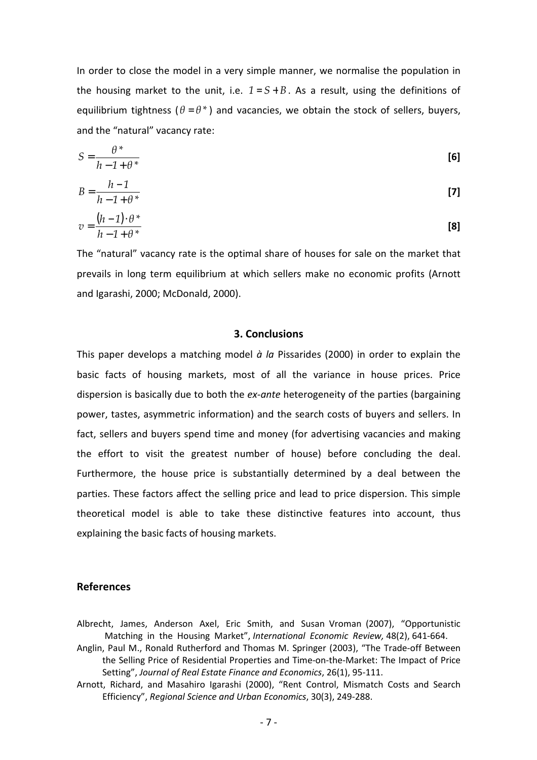In order to close the model in a very simple manner, we normalise the population in the housing market to the unit, i.e.  $1 = S + B$ . As a result, using the definitions of equilibrium tightness ( $\theta = \theta^*$ ) and vacancies, we obtain the stock of sellers, buyers, and the "natural" vacancy rate:

$$
S = \frac{\theta^*}{h - 1 + \theta^*}
$$
 [6]

$$
B = \frac{h-1}{h-1+\theta^*} \tag{7}
$$

$$
v = \frac{(h-1) \cdot \theta^*}{h-1+\theta^*}
$$
 [8]

The "natural" vacancy rate is the optimal share of houses for sale on the market that prevails in long term equilibrium at which sellers make no economic profits (Arnott and Igarashi, 2000; McDonald, 2000).

# **3. Conclusions**

This paper develops a matching model *à la* Pissarides (2000) in order to explain the basic facts of housing markets, most of all the variance in house prices. Price dispersion is basically due to both the *ex-ante* heterogeneity of the parties (bargaining power, tastes, asymmetric information) and the search costs of buyers and sellers. In fact, sellers and buyers spend time and money (for advertising vacancies and making the effort to visit the greatest number of house) before concluding the deal. Furthermore, the house price is substantially determined by a deal between the parties. These factors affect the selling price and lead to price dispersion. This simple theoretical model is able to take these distinctive features into account, thus explaining the basic facts of housing markets.

#### **References**

- Albrecht, James, Anderson Axel, Eric Smith, and Susan Vroman (2007), "Opportunistic Matching in the Housing Market", *International Economic Review,* 48(2), 641-664.
- Anglin, Paul M., Ronald Rutherford and Thomas M. Springer (2003), "The Trade-off Between the Selling Price of Residential Properties and Time-on-the-Market: The Impact of Price Setting", *Journal of Real Estate Finance and Economics*, 26(1), 95-111.
- Arnott, Richard, and Masahiro Igarashi (2000), "Rent Control, Mismatch Costs and Search Efficiency", *Regional Science and Urban Economics*, 30(3), 249-288.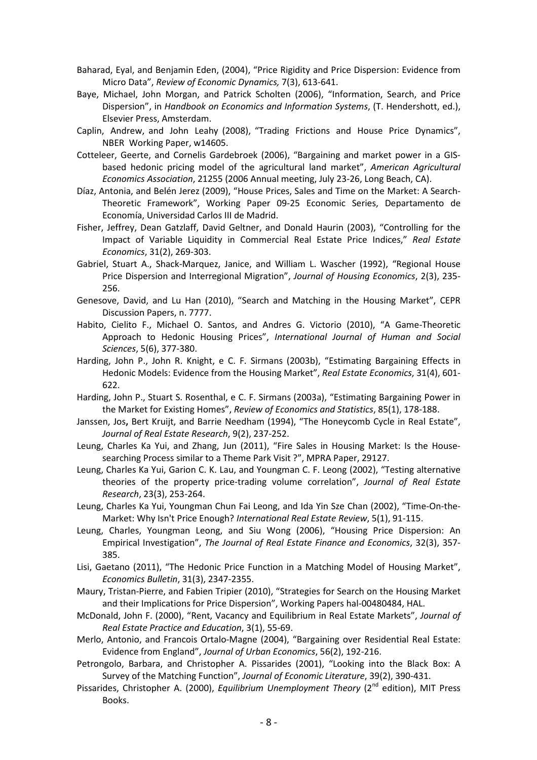- Baharad, Eyal, and Benjamin Eden, (2004), "Price Rigidity and Price Dispersion: Evidence from Micro Data", *Review of Economic Dynamics,* 7(3), 613-641.
- Baye, Michael, John Morgan, and Patrick Scholten (2006), "Information, Search, and Price Dispersion", in *Handbook on Economics and Information Systems*, (T. Hendershott, ed.), Elsevier Press, Amsterdam.
- Caplin, Andrew, and John Leahy (2008), "Trading Frictions and House Price Dynamics", NBER Working Paper, w14605.
- Cotteleer, Geerte, and Cornelis Gardebroek (2006), "Bargaining and market power in a GISbased hedonic pricing model of the agricultural land market", *American Agricultural Economics Association*, 21255 (2006 Annual meeting, July 23-26, Long Beach, CA).
- Díaz, Antonia, and Belén Jerez (2009), "House Prices, Sales and Time on the Market: A Search-Theoretic Framework", Working Paper 09-25 Economic Series, Departamento de Economía, Universidad Carlos III de Madrid.
- Fisher, Jeffrey, Dean Gatzlaff, David Geltner, and Donald Haurin (2003), "Controlling for the Impact of Variable Liquidity in Commercial Real Estate Price Indices," *Real Estate Economics*, 31(2), 269-303.
- Gabriel, Stuart A., Shack-Marquez, Janice, and William L. Wascher (1992), "Regional House Price Dispersion and Interregional Migration", *Journal of Housing Economics*, 2(3), 235- 256.
- Genesove, David, and Lu Han (2010), "Search and Matching in the Housing Market", CEPR Discussion Papers, n. 7777.
- Habito, Cielito F., Michael O. Santos, and Andres G. Victorio (2010), "A Game-Theoretic Approach to Hedonic Housing Prices", *International Journal of Human and Social Sciences*, 5(6), 377-380.
- Harding, John P., John R. Knight, e C. F. Sirmans (2003b), "Estimating Bargaining Effects in Hedonic Models: Evidence from the Housing Market", *Real Estate Economics*, 31(4), 601- 622.
- Harding, John P., Stuart S. Rosenthal, e C. F. Sirmans (2003a), "Estimating Bargaining Power in the Market for Existing Homes", *Review of Economics and Statistics*, 85(1), 178-188.
- Janssen, Jos**,** Bert Kruijt, and Barrie Needham (1994), "The Honeycomb Cycle in Real Estate", *Journal of Real Estate Research*, 9(2), 237-252.
- Leung, Charles Ka Yui, and Zhang, Jun (2011), "Fire Sales in Housing Market: Is the Housesearching Process similar to a Theme Park Visit ?", MPRA Paper, 29127.
- Leung, Charles Ka Yui, Garion C. K. Lau, and Youngman C. F. Leong (2002), "Testing alternative theories of the property price-trading volume correlation", *Journal of Real Estate Research*, 23(3), 253-264.
- Leung, Charles Ka Yui, Youngman Chun Fai Leong, and Ida Yin Sze Chan (2002), "Time-On-the-Market: Why Isn't Price Enough? *International Real Estate Review*, 5(1), 91-115.
- Leung, Charles, Youngman Leong, and Siu Wong (2006), "Housing Price Dispersion: An Empirical Investigation", *The Journal of Real Estate Finance and Economics*, 32(3), 357- 385.
- Lisi, Gaetano (2011), "The Hedonic Price Function in a Matching Model of Housing Market", *Economics Bulletin*, 31(3), 2347-2355.
- Maury, Tristan-Pierre, and Fabien Tripier (2010), "Strategies for Search on the Housing Market and their Implications for Price Dispersion", Working Papers hal-00480484, HAL.
- McDonald, John F. (2000), "Rent, Vacancy and Equilibrium in Real Estate Markets", *Journal of Real Estate Practice and Education*, 3(1), 55-69.
- Merlo, Antonio, and Francois Ortalo-Magne (2004), "Bargaining over Residential Real Estate: Evidence from England", *Journal of Urban Economics*, 56(2), 192-216.
- Petrongolo, Barbara, and Christopher A. Pissarides (2001), "Looking into the Black Box: A Survey of the Matching Function", *Journal of Economic Literature*, 39(2), 390-431.
- Pissarides, Christopher A. (2000), *Equilibrium Unemployment Theory* (2<sup>nd</sup> edition), MIT Press Books.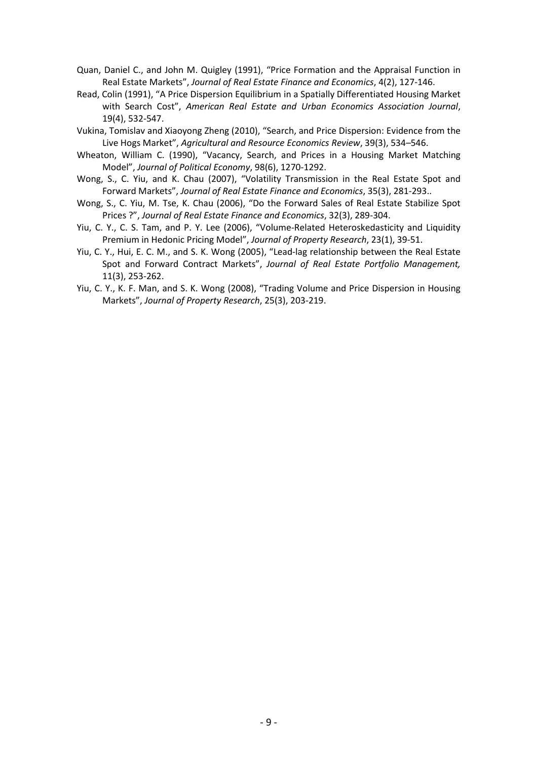- Quan, Daniel C., and John M. Quigley (1991), "Price Formation and the Appraisal Function in Real Estate Markets", *Journal of Real Estate Finance and Economics*, 4(2), 127-146.
- Read, Colin (1991), "A Price Dispersion Equilibrium in a Spatially Differentiated Housing Market with Search Cost", *American Real Estate and Urban Economics Association Journal*, 19(4), 532-547.
- Vukina, Tomislav and Xiaoyong Zheng (2010), "Search, and Price Dispersion: Evidence from the Live Hogs Market", *Agricultural and Resource Economics Review*, 39(3), 534–546.
- Wheaton, William C. (1990), "Vacancy, Search, and Prices in a Housing Market Matching Model", *Journal of Political Economy*, 98(6), 1270-1292.
- Wong, S., C. Yiu, and K. Chau (2007), "Volatility Transmission in the Real Estate Spot and Forward Markets", *Journal of Real Estate Finance and Economics*, 35(3), 281-293..
- Wong, S., C. Yiu, M. Tse, K. Chau (2006), "Do the Forward Sales of Real Estate Stabilize Spot Prices ?", *Journal of Real Estate Finance and Economics*, 32(3), 289-304.
- Yiu, C. Y., C. S. Tam, and P. Y. Lee (2006), "Volume-Related Heteroskedasticity and Liquidity Premium in Hedonic Pricing Model", *Journal of Property Research*, 23(1), 39-51.
- Yiu, C. Y., Hui, E. C. M., and S. K. Wong (2005), "Lead-lag relationship between the Real Estate Spot and Forward Contract Markets", *Journal of Real Estate Portfolio Management,*  11(3), 253-262.
- Yiu, C. Y., K. F. Man, and S. K. Wong (2008), "Trading Volume and Price Dispersion in Housing Markets", *Journal of Property Research*, 25(3), 203-219.